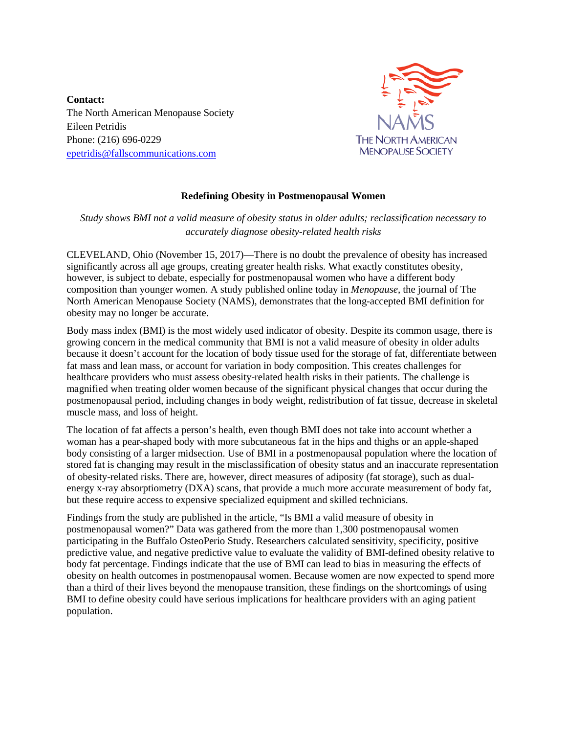**Contact:** The North American Menopause Society Eileen Petridis Phone: (216) 696-0229 [epetridis@fallscommunications.com](mailto:epetridis@fallscommunications.com)



## **Redefining Obesity in Postmenopausal Women**

## *Study shows BMI not a valid measure of obesity status in older adults; reclassification necessary to accurately diagnose obesity-related health risks*

CLEVELAND, Ohio (November 15, 2017)—There is no doubt the prevalence of obesity has increased significantly across all age groups, creating greater health risks. What exactly constitutes obesity, however, is subject to debate, especially for postmenopausal women who have a different body composition than younger women. A study published online today in *Menopause*, the journal of The North American Menopause Society (NAMS), demonstrates that the long-accepted BMI definition for obesity may no longer be accurate.

Body mass index (BMI) is the most widely used indicator of obesity. Despite its common usage, there is growing concern in the medical community that BMI is not a valid measure of obesity in older adults because it doesn't account for the location of body tissue used for the storage of fat, differentiate between fat mass and lean mass, or account for variation in body composition. This creates challenges for healthcare providers who must assess obesity-related health risks in their patients. The challenge is magnified when treating older women because of the significant physical changes that occur during the postmenopausal period, including changes in body weight, redistribution of fat tissue, decrease in skeletal muscle mass, and loss of height.

The location of fat affects a person's health, even though BMI does not take into account whether a woman has a pear-shaped body with more subcutaneous fat in the hips and thighs or an apple-shaped body consisting of a larger midsection. Use of BMI in a postmenopausal population where the location of stored fat is changing may result in the misclassification of obesity status and an inaccurate representation of obesity-related risks. There are, however, direct measures of adiposity (fat storage), such as dualenergy x-ray absorptiometry (DXA) scans, that provide a much more accurate measurement of body fat, but these require access to expensive specialized equipment and skilled technicians.

Findings from the study are published in the article, "Is BMI a valid measure of obesity in postmenopausal women?" Data was gathered from the more than 1,300 postmenopausal women participating in the Buffalo OsteoPerio Study. Researchers calculated sensitivity, specificity, positive predictive value, and negative predictive value to evaluate the validity of BMI-defined obesity relative to body fat percentage. Findings indicate that the use of BMI can lead to bias in measuring the effects of obesity on health outcomes in postmenopausal women. Because women are now expected to spend more than a third of their lives beyond the menopause transition, these findings on the shortcomings of using BMI to define obesity could have serious implications for healthcare providers with an aging patient population.